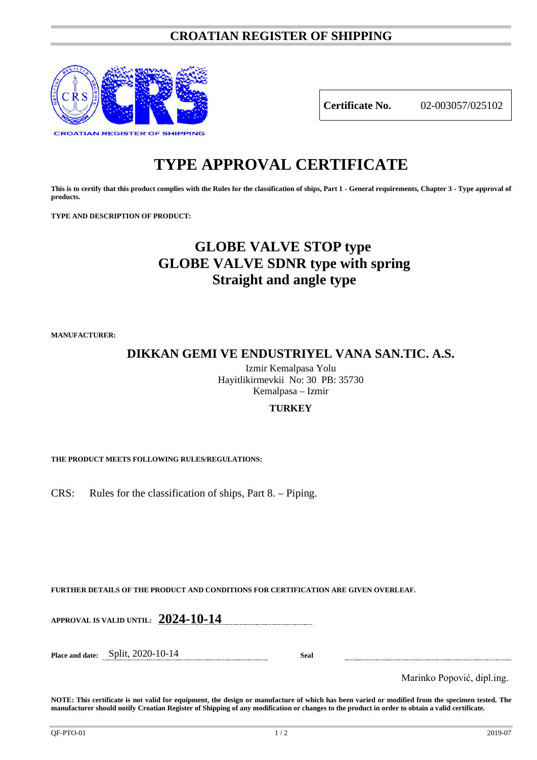### **CROATIAN REGISTER OF SHIPPING**



**Certificate No.** 02-003057/025102

# **TYPE APPROVAL CERTIFICATE**

**This is to certify that this product complies with the Rules for the classification of ships, Part 1 - General requirements, Chapter 3 - Type approval of products.**

**TYPE AND DESCRIPTION OF PRODUCT:** 

## **GLOBE VALVE STOP type GLOBE VALVE SDNR type with spring Straight and angle type**

**MANUFACTURER:**

**DIKKAN GEMI VE ENDUSTRIYEL VANA SAN.TIC. A.S.**

Izmir Kemalpasa Yolu Hayitlikirmevkii No: 30 PB: 35730 Kemalpasa – Izmir

#### **TURKEY**

**THE PRODUCT MEETS FOLLOWING RULES/REGULATIONS:**

CRS: Rules for the classification of ships, Part 8. – Piping.

**FURTHER DETAILS OF THE PRODUCT AND CONDITIONS FOR CERTIFICATION ARE GIVEN OVERLEAF.**

**APPROVAL IS VALID UNTIL: 2024-10-14**

**Place and date:** Split, 2020-10-14 **Seal**

Marinko Popović, dipl.ing.

**NOTE: This certificate is not valid for equipment, the design or manufacture of which has been varied or modified from the specimen tested. The manufacturer should notify Croatian Register of Shipping of any modification or changes to the product in order to obtain a valid certificate.**